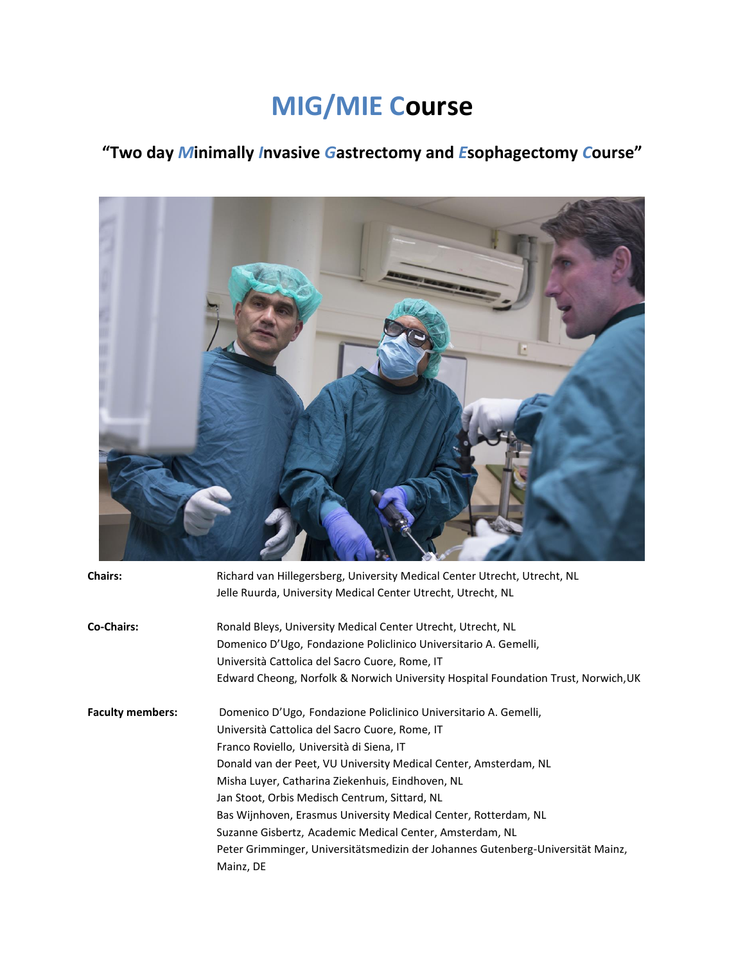# **MIG/MIE Course**

# **"Two day** *M***inimally** *I***nvasive** *G***astrectomy and** *E***sophagectomy** *C***ourse"**



| <b>Chairs:</b>          | Richard van Hillegersberg, University Medical Center Utrecht, Utrecht, NL          |
|-------------------------|------------------------------------------------------------------------------------|
|                         | Jelle Ruurda, University Medical Center Utrecht, Utrecht, NL                       |
| <b>Co-Chairs:</b>       | Ronald Bleys, University Medical Center Utrecht, Utrecht, NL                       |
|                         | Domenico D'Ugo, Fondazione Policlinico Universitario A. Gemelli,                   |
|                         | Università Cattolica del Sacro Cuore, Rome, IT                                     |
|                         | Edward Cheong, Norfolk & Norwich University Hospital Foundation Trust, Norwich, UK |
| <b>Faculty members:</b> | Domenico D'Ugo, Fondazione Policlinico Universitario A. Gemelli,                   |
|                         | Università Cattolica del Sacro Cuore, Rome, IT                                     |
|                         | Franco Roviello, Università di Siena, IT                                           |
|                         | Donald van der Peet, VU University Medical Center, Amsterdam, NL                   |
|                         | Misha Luyer, Catharina Ziekenhuis, Eindhoven, NL                                   |
|                         | Jan Stoot, Orbis Medisch Centrum, Sittard, NL                                      |
|                         | Bas Wijnhoven, Erasmus University Medical Center, Rotterdam, NL                    |
|                         | Suzanne Gisbertz, Academic Medical Center, Amsterdam, NL                           |
|                         | Peter Grimminger, Universitätsmedizin der Johannes Gutenberg-Universität Mainz,    |
|                         | Mainz, DE                                                                          |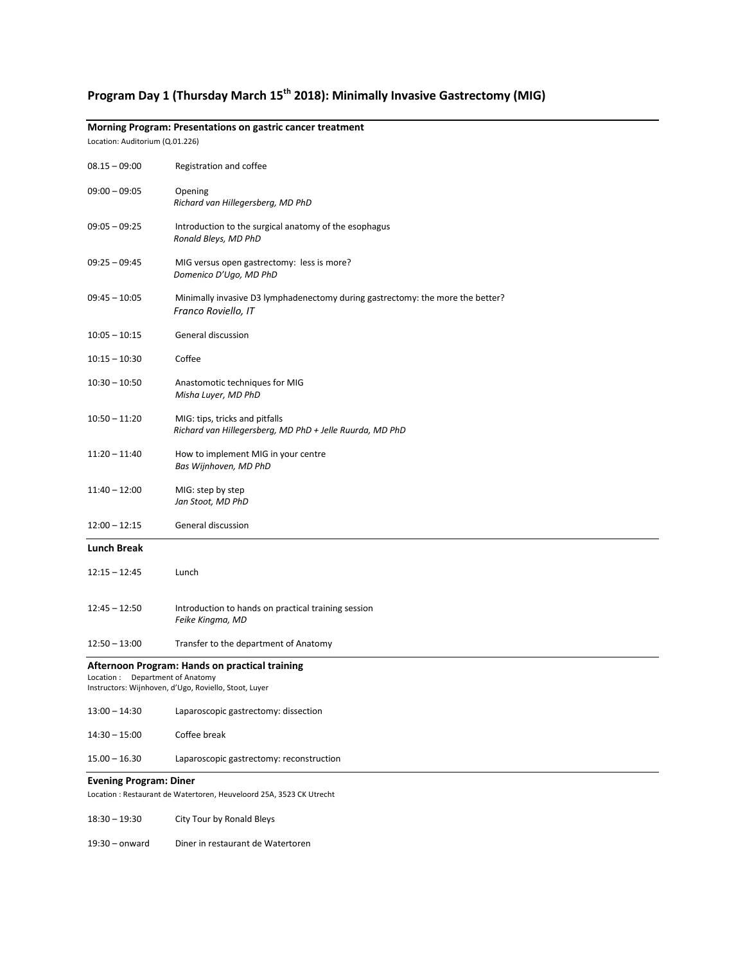## **Program Day 1 (Thursday March 15th 2018): Minimally Invasive Gastrectomy (MIG)**

#### **Morning Program: Presentations on gastric cancer treatment**

Location: Auditorium (Q.01.226)

| $08.15 - 09:00$                                                                                                                               | Registration and coffee                                                                               |  |
|-----------------------------------------------------------------------------------------------------------------------------------------------|-------------------------------------------------------------------------------------------------------|--|
| $09:00 - 09:05$                                                                                                                               | Opening<br>Richard van Hillegersberg, MD PhD                                                          |  |
| $09:05 - 09:25$                                                                                                                               | Introduction to the surgical anatomy of the esophagus<br>Ronald Bleys, MD PhD                         |  |
| $09:25 - 09:45$                                                                                                                               | MIG versus open gastrectomy: less is more?<br>Domenico D'Ugo, MD PhD                                  |  |
| $09:45 - 10:05$                                                                                                                               | Minimally invasive D3 lymphadenectomy during gastrectomy: the more the better?<br>Franco Roviello, IT |  |
| $10:05 - 10:15$                                                                                                                               | General discussion                                                                                    |  |
| $10:15 - 10:30$                                                                                                                               | Coffee                                                                                                |  |
| $10:30 - 10:50$                                                                                                                               | Anastomotic techniques for MIG<br>Misha Luyer, MD PhD                                                 |  |
| $10:50 - 11:20$                                                                                                                               | MIG: tips, tricks and pitfalls<br>Richard van Hillegersberg, MD PhD + Jelle Ruurda, MD PhD            |  |
| $11:20 - 11:40$                                                                                                                               | How to implement MIG in your centre<br>Bas Wijnhoven, MD PhD                                          |  |
| $11:40 - 12:00$                                                                                                                               | MIG: step by step<br>Jan Stoot, MD PhD                                                                |  |
| $12:00 - 12:15$                                                                                                                               | General discussion                                                                                    |  |
| <b>Lunch Break</b>                                                                                                                            |                                                                                                       |  |
| $12:15 - 12:45$                                                                                                                               | Lunch                                                                                                 |  |
| $12:45 - 12:50$                                                                                                                               | Introduction to hands on practical training session<br>Feike Kingma, MD                               |  |
| $12:50 - 13:00$                                                                                                                               | Transfer to the department of Anatomy                                                                 |  |
| Afternoon Program: Hands on practical training<br>Department of Anatomy<br>Location:<br>Instructors: Wijnhoven, d'Ugo, Roviello, Stoot, Luyer |                                                                                                       |  |
| $13:00 - 14:30$                                                                                                                               | Laparoscopic gastrectomy: dissection                                                                  |  |
| $14:30 - 15:00$                                                                                                                               | Coffee break                                                                                          |  |
| $15.00 - 16.30$                                                                                                                               | Laparoscopic gastrectomy: reconstruction                                                              |  |
| <b>Evening Program: Diner</b>                                                                                                                 |                                                                                                       |  |
| Location : Restaurant de Watertoren, Heuveloord 25A, 3523 CK Utrecht                                                                          |                                                                                                       |  |
| $18:30 - 19:30$                                                                                                                               | City Tour by Ronald Bleys                                                                             |  |

19:30 – onward Diner in restaurant de Watertoren